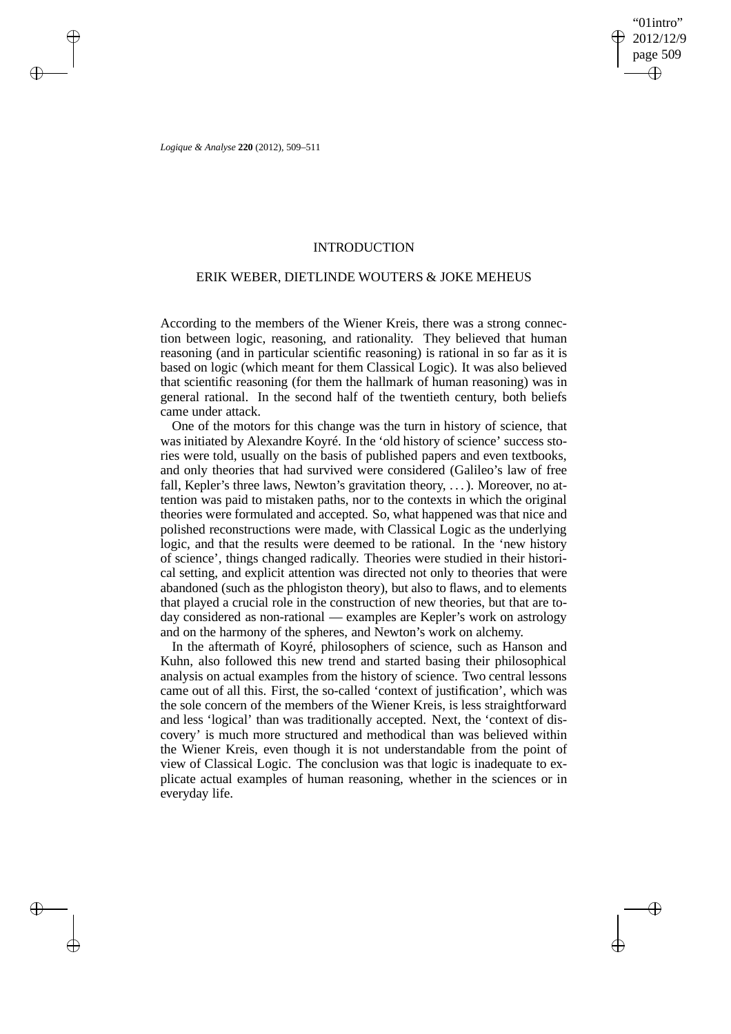"01intro" 2012/12/9 page 509 ✐ ✐

✐

✐

*Logique & Analyse* **220** (2012), 509–511

 $\rightarrow$ 

 $\rightarrow$ 

✐

✐

## INTRODUCTION

## ERIK WEBER, DIETLINDE WOUTERS & JOKE MEHEUS

According to the members of the Wiener Kreis, there was a strong connection between logic, reasoning, and rationality. They believed that human reasoning (and in particular scientific reasoning) is rational in so far as it is based on logic (which meant for them Classical Logic). It was also believed that scientific reasoning (for them the hallmark of human reasoning) was in general rational. In the second half of the twentieth century, both beliefs came under attack.

One of the motors for this change was the turn in history of science, that was initiated by Alexandre Koyré. In the 'old history of science' success stories were told, usually on the basis of published papers and even textbooks, and only theories that had survived were considered (Galileo's law of free fall, Kepler's three laws, Newton's gravitation theory, . . . ). Moreover, no attention was paid to mistaken paths, nor to the contexts in which the original theories were formulated and accepted. So, what happened was that nice and polished reconstructions were made, with Classical Logic as the underlying logic, and that the results were deemed to be rational. In the 'new history of science', things changed radically. Theories were studied in their historical setting, and explicit attention was directed not only to theories that were abandoned (such as the phlogiston theory), but also to flaws, and to elements that played a crucial role in the construction of new theories, but that are today considered as non-rational — examples are Kepler's work on astrology and on the harmony of the spheres, and Newton's work on alchemy.

In the aftermath of Koyré, philosophers of science, such as Hanson and Kuhn, also followed this new trend and started basing their philosophical analysis on actual examples from the history of science. Two central lessons came out of all this. First, the so-called 'context of justification', which was the sole concern of the members of the Wiener Kreis, is less straightforward and less 'logical' than was traditionally accepted. Next, the 'context of discovery' is much more structured and methodical than was believed within the Wiener Kreis, even though it is not understandable from the point of view of Classical Logic. The conclusion was that logic is inadequate to explicate actual examples of human reasoning, whether in the sciences or in everyday life.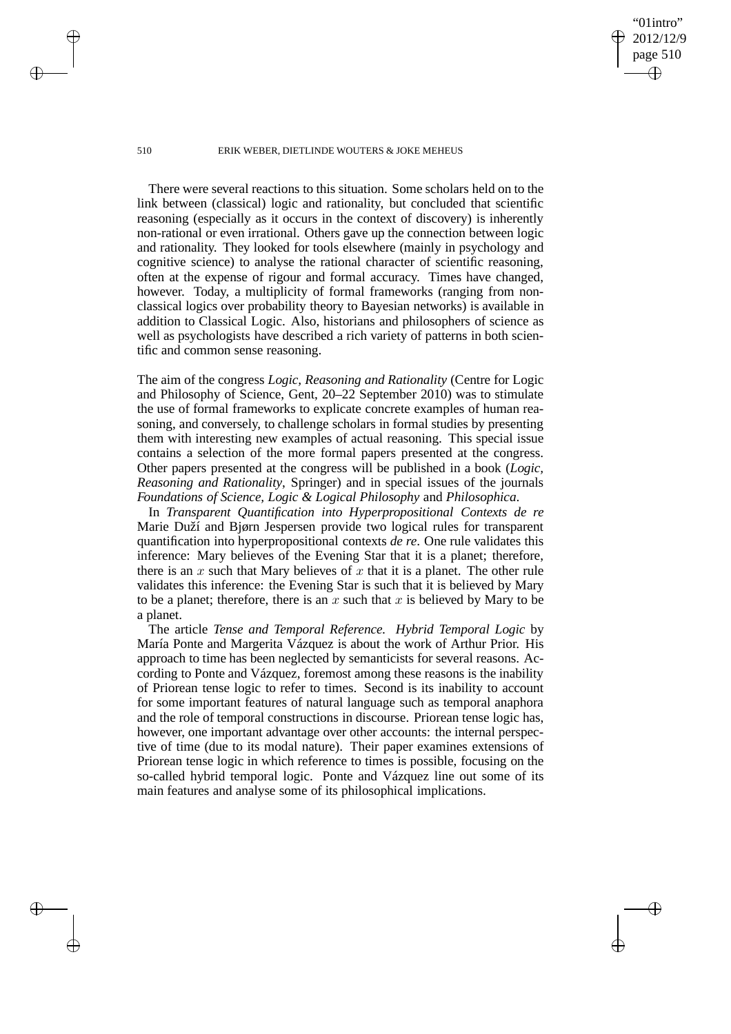"01intro" 2012/12/9 page 510 ✐ ✐

✐

✐

## 510 ERIK WEBER, DIETLINDE WOUTERS & JOKE MEHEUS

 $\rightarrow$ 

 $\rightarrow$ 

✐

✐

There were several reactions to this situation. Some scholars held on to the link between (classical) logic and rationality, but concluded that scientific reasoning (especially as it occurs in the context of discovery) is inherently non-rational or even irrational. Others gave up the connection between logic and rationality. They looked for tools elsewhere (mainly in psychology and cognitive science) to analyse the rational character of scientific reasoning, often at the expense of rigour and formal accuracy. Times have changed, however. Today, a multiplicity of formal frameworks (ranging from nonclassical logics over probability theory to Bayesian networks) is available in addition to Classical Logic. Also, historians and philosophers of science as well as psychologists have described a rich variety of patterns in both scientific and common sense reasoning.

The aim of the congress *Logic, Reasoning and Rationality* (Centre for Logic and Philosophy of Science, Gent, 20–22 September 2010) was to stimulate the use of formal frameworks to explicate concrete examples of human reasoning, and conversely, to challenge scholars in formal studies by presenting them with interesting new examples of actual reasoning. This special issue contains a selection of the more formal papers presented at the congress. Other papers presented at the congress will be published in a book (*Logic, Reasoning and Rationality*, Springer) and in special issues of the journals *Foundations of Science, Logic & Logical Philosophy* and *Philosophica*.

In *Transparent Quantification into Hyperpropositional Contexts de re* Marie Duží and Bjørn Jespersen provide two logical rules for transparent quantification into hyperpropositional contexts *de re*. One rule validates this inference: Mary believes of the Evening Star that it is a planet; therefore, there is an x such that Mary believes of x that it is a planet. The other rule validates this inference: the Evening Star is such that it is believed by Mary to be a planet; therefore, there is an x such that x is believed by Mary to be a planet.

The article *Tense and Temporal Reference. Hybrid Temporal Logic* by María Ponte and Margerita Vázquez is about the work of Arthur Prior. His approach to time has been neglected by semanticists for several reasons. According to Ponte and Vázquez, foremost among these reasons is the inability of Priorean tense logic to refer to times. Second is its inability to account for some important features of natural language such as temporal anaphora and the role of temporal constructions in discourse. Priorean tense logic has, however, one important advantage over other accounts: the internal perspective of time (due to its modal nature). Their paper examines extensions of Priorean tense logic in which reference to times is possible, focusing on the so-called hybrid temporal logic. Ponte and Vázquez line out some of its main features and analyse some of its philosophical implications.